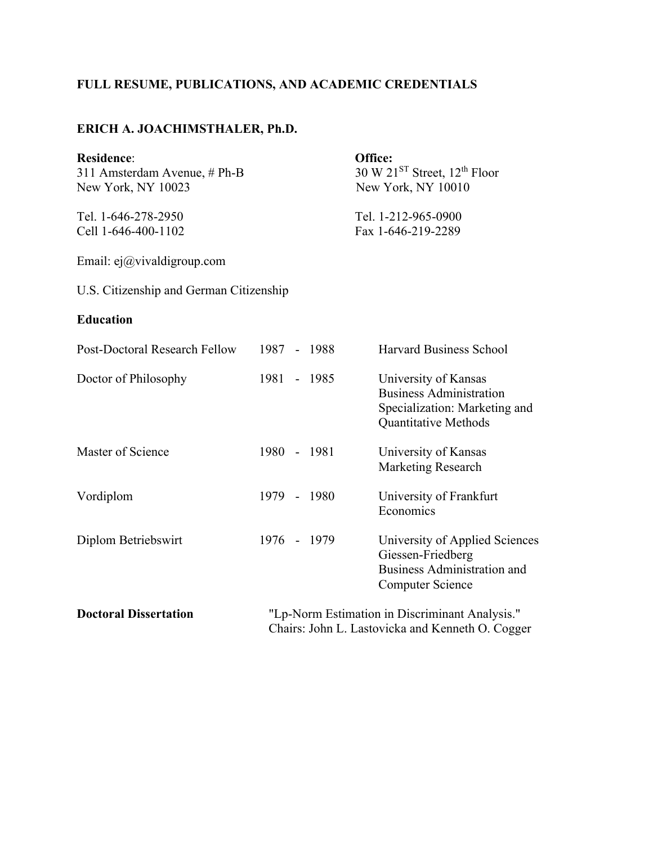## **FULL RESUME, PUBLICATIONS, AND ACADEMIC CREDENTIALS**

### **ERICH A. JOACHIMSTHALER, Ph.D.**

| <b>Residence:</b><br>311 Amsterdam Avenue, # Ph-B<br>New York, NY 10023 | Office:<br>30 W $21^{ST}$ Street, $12^{th}$ Floor<br>New York, NY 10010 |             |                                                                                                                      |
|-------------------------------------------------------------------------|-------------------------------------------------------------------------|-------------|----------------------------------------------------------------------------------------------------------------------|
| Tel. 1-646-278-2950<br>Cell 1-646-400-1102                              | Tel. 1-212-965-0900<br>Fax 1-646-219-2289                               |             |                                                                                                                      |
| Email: $e_j(\omega)$ vivaldigroup.com                                   |                                                                         |             |                                                                                                                      |
| U.S. Citizenship and German Citizenship                                 |                                                                         |             |                                                                                                                      |
| <b>Education</b>                                                        |                                                                         |             |                                                                                                                      |
| Post-Doctoral Research Fellow                                           |                                                                         | 1987 - 1988 | <b>Harvard Business School</b>                                                                                       |
| Doctor of Philosophy                                                    |                                                                         | 1981 - 1985 | University of Kansas<br><b>Business Administration</b><br>Specialization: Marketing and<br>Quantitative Methods      |
| Master of Science                                                       |                                                                         | 1980 - 1981 | University of Kansas<br><b>Marketing Research</b>                                                                    |
| Vordiplom                                                               |                                                                         | 1979 - 1980 | University of Frankfurt<br>Economics                                                                                 |
| Diplom Betriebswirt                                                     |                                                                         | 1976 - 1979 | University of Applied Sciences<br>Giessen-Friedberg<br><b>Business Administration and</b><br><b>Computer Science</b> |
| <b>Doctoral Dissertation</b>                                            |                                                                         |             | "Lp-Norm Estimation in Discriminant Analysis."<br>Chairs: John L. Lastovicka and Kenneth O. Cogger                   |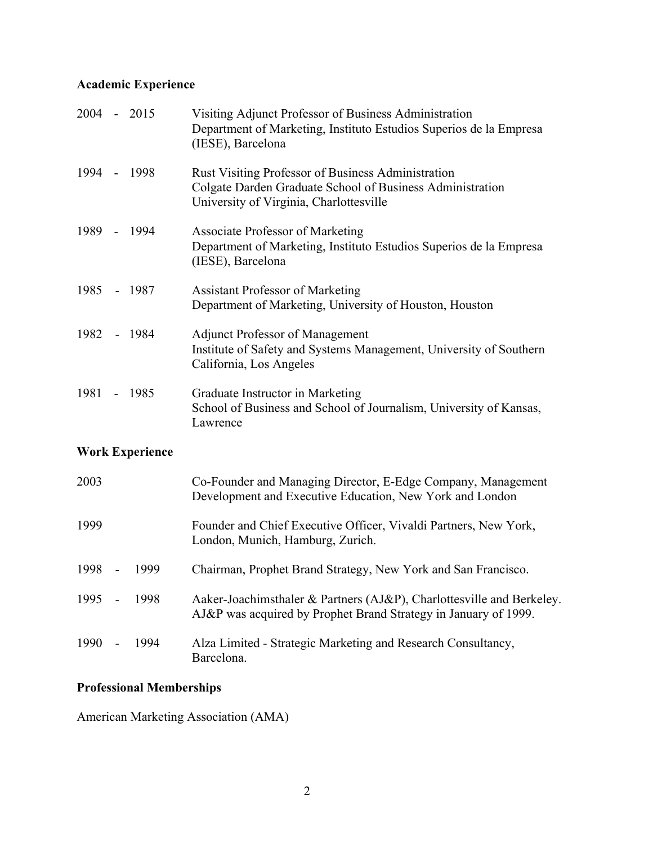# **Academic Experience**

| 2004 - 2015 |                          |                        | Visiting Adjunct Professor of Business Administration<br>Department of Marketing, Instituto Estudios Superios de la Empresa<br>(IESE), Barcelona           |
|-------------|--------------------------|------------------------|------------------------------------------------------------------------------------------------------------------------------------------------------------|
| 1994        |                          | $-1998$                | Rust Visiting Professor of Business Administration<br>Colgate Darden Graduate School of Business Administration<br>University of Virginia, Charlottesville |
|             |                          | 1989 - 1994            | Associate Professor of Marketing<br>Department of Marketing, Instituto Estudios Superios de la Empresa<br>(IESE), Barcelona                                |
| 1985 - 1987 |                          |                        | <b>Assistant Professor of Marketing</b><br>Department of Marketing, University of Houston, Houston                                                         |
| 1982        |                          | - 1984                 | <b>Adjunct Professor of Management</b><br>Institute of Safety and Systems Management, University of Southern<br>California, Los Angeles                    |
| 1981 - 1985 |                          |                        | Graduate Instructor in Marketing<br>School of Business and School of Journalism, University of Kansas,<br>Lawrence                                         |
|             |                          | <b>Work Experience</b> |                                                                                                                                                            |
| 2003        |                          |                        | Co-Founder and Managing Director, E-Edge Company, Management<br>Development and Executive Education, New York and London                                   |
| 1999        |                          |                        | Founder and Chief Executive Officer, Vivaldi Partners, New York,<br>London, Munich, Hamburg, Zurich.                                                       |
| 1998        | $\overline{a}$           | 1999                   | Chairman, Prophet Brand Strategy, New York and San Francisco.                                                                                              |
| 1995        | $\overline{\phantom{a}}$ | 1998                   | Aaker-Joachimsthaler & Partners (AJ&P), Charlottesville and Berkeley.<br>AJ&P was acquired by Prophet Brand Strategy in January of 1999.                   |
| 1990        | $\overline{\phantom{a}}$ | 1994                   | Alza Limited - Strategic Marketing and Research Consultancy,<br>Barcelona.                                                                                 |

## **Professional Memberships**

American Marketing Association (AMA)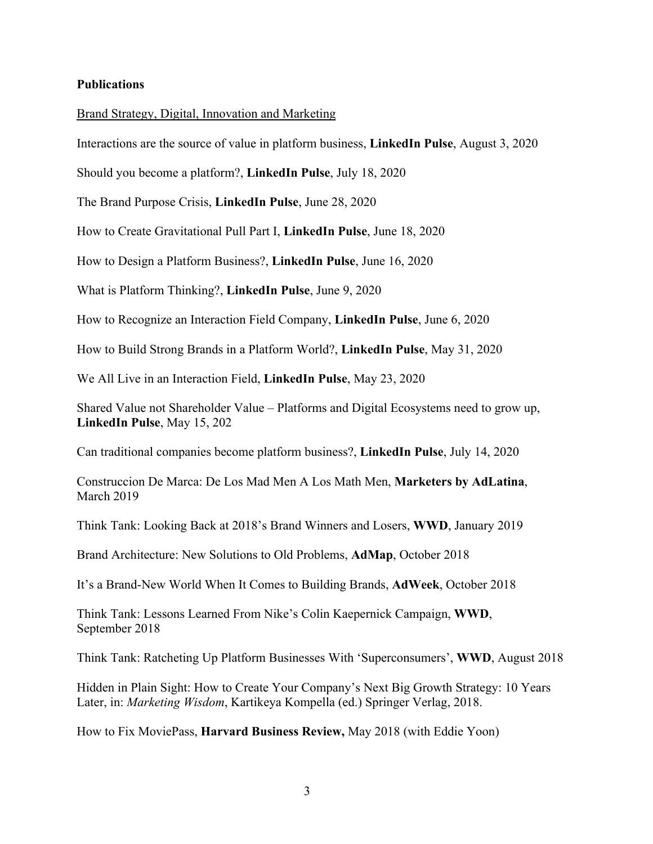#### **Publications**

#### Brand Strategy, Digital, Innovation and Marketing

Interactions are the source of value in platform business, **LinkedIn Pulse**, August 3, 2020

Should you become a platform?, **LinkedIn Pulse**, July 18, 2020

The Brand Purpose Crisis, **LinkedIn Pulse**, June 28, 2020

How to Create Gravitational Pull Part I, **LinkedIn Pulse**, June 18, 2020

How to Design a Platform Business?, **LinkedIn Pulse**, June 16, 2020

What is Platform Thinking?, **LinkedIn Pulse**, June 9, 2020

How to Recognize an Interaction Field Company, **LinkedIn Pulse**, June 6, 2020

How to Build Strong Brands in a Platform World?, **LinkedIn Pulse**, May 31, 2020

We All Live in an Interaction Field, **LinkedIn Pulse**, May 23, 2020

Shared Value not Shareholder Value – Platforms and Digital Ecosystems need to grow up, **LinkedIn Pulse**, May 15, 202

Can traditional companies become platform business?, **LinkedIn Pulse**, July 14, 2020

Construccion De Marca: De Los Mad Men A Los Math Men, **Marketers by AdLatina**, March 2019

Think Tank: Looking Back at 2018's Brand Winners and Losers, **WWD**, January 2019

Brand Architecture: New Solutions to Old Problems, **AdMap**, October 2018

It's a Brand-New World When It Comes to Building Brands, **AdWeek**, October 2018

Think Tank: Lessons Learned From Nike's Colin Kaepernick Campaign, **WWD**, September 2018

Think Tank: Ratcheting Up Platform Businesses With 'Superconsumers', **WWD**, August 2018

Hidden in Plain Sight: How to Create Your Company's Next Big Growth Strategy: 10 Years Later, in: *Marketing Wisdom*, Kartikeya Kompella (ed.) Springer Verlag, 2018.

How to Fix MoviePass, **Harvard Business Review,** May 2018 (with Eddie Yoon)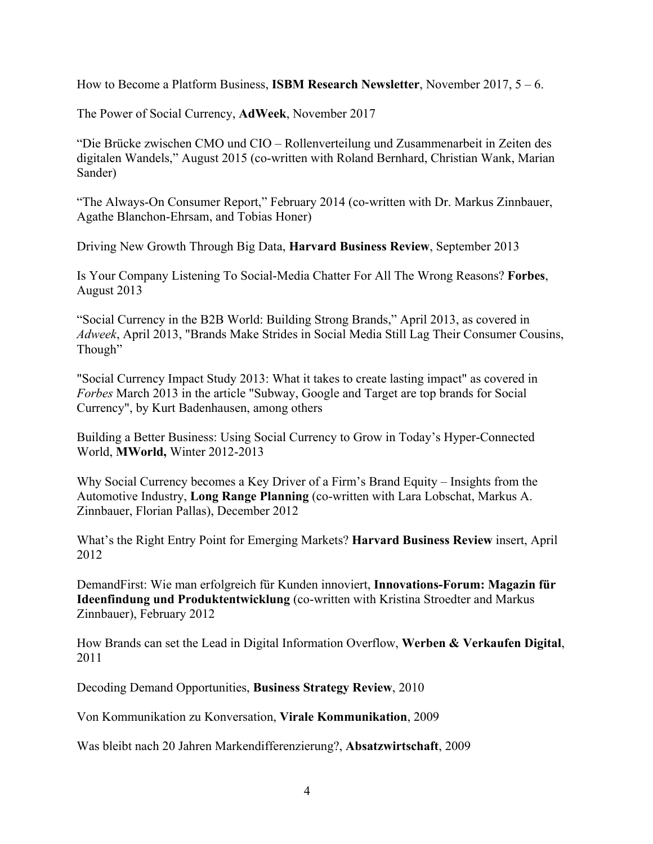How to Become a Platform Business, **ISBM Research Newsletter**, November 2017, 5 – 6.

The Power of Social Currency, **AdWeek**, November 2017

"Die Brücke zwischen CMO und CIO – Rollenverteilung und Zusammenarbeit in Zeiten des digitalen Wandels," August 2015 (co-written with Roland Bernhard, Christian Wank, Marian Sander)

"The Always-On Consumer Report," February 2014 (co-written with Dr. Markus Zinnbauer, Agathe Blanchon-Ehrsam, and Tobias Honer)

Driving New Growth Through Big Data, **Harvard Business Review**, September 2013

Is Your Company Listening To Social-Media Chatter For All The Wrong Reasons? **Forbes**, August 2013

"Social Currency in the B2B World: Building Strong Brands," April 2013, as covered in *Adweek*, April 2013, "Brands Make Strides in Social Media Still Lag Their Consumer Cousins, Though"

"Social Currency Impact Study 2013: What it takes to create lasting impact" as covered in *Forbes* March 2013 in the article "Subway, Google and Target are top brands for Social Currency", by Kurt Badenhausen, among others

Building a Better Business: Using Social Currency to Grow in Today's Hyper-Connected World, **MWorld,** Winter 2012-2013

Why Social Currency becomes a Key Driver of a Firm's Brand Equity – Insights from the Automotive Industry, **Long Range Planning** (co-written with Lara Lobschat, Markus A. Zinnbauer, Florian Pallas), December 2012

What's the Right Entry Point for Emerging Markets? **Harvard Business Review** insert, April 2012

DemandFirst: Wie man erfolgreich für Kunden innoviert, **Innovations-Forum: Magazin für Ideenfindung und Produktentwicklung** (co-written with Kristina Stroedter and Markus Zinnbauer), February 2012

How Brands can set the Lead in Digital Information Overflow, **Werben & Verkaufen Digital**, 2011

Decoding Demand Opportunities, **Business Strategy Review**, 2010

Von Kommunikation zu Konversation, **Virale Kommunikation**, 2009

Was bleibt nach 20 Jahren Markendifferenzierung?, **Absatzwirtschaft**, 2009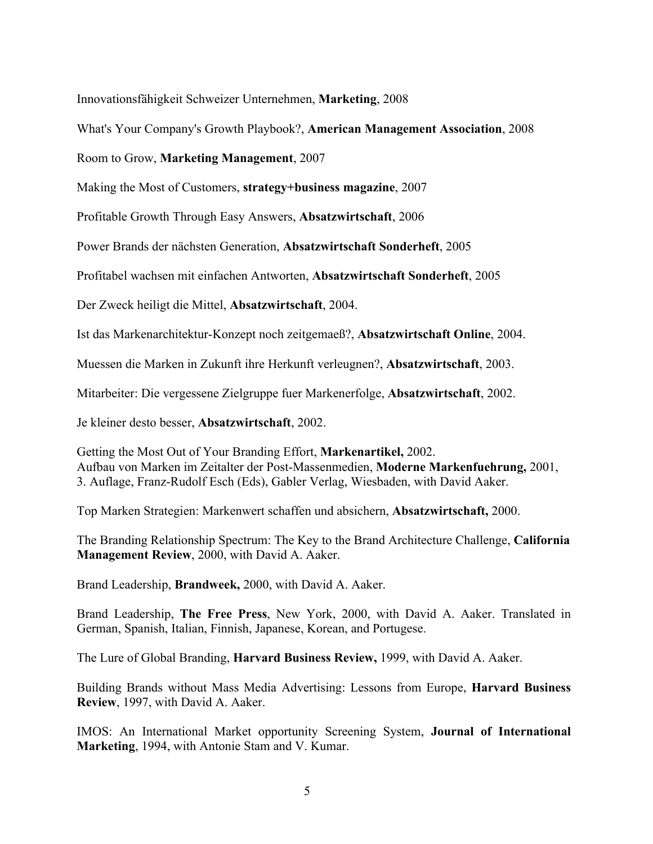Innovationsfähigkeit Schweizer Unternehmen, **Marketing**, 2008

What's Your Company's Growth Playbook?, **American Management Association**, 2008

Room to Grow, **Marketing Management**, 2007

Making the Most of Customers, **strategy+business magazine**, 2007

Profitable Growth Through Easy Answers, **Absatzwirtschaft**, 2006

Power Brands der nächsten Generation, **Absatzwirtschaft Sonderheft**, 2005

Profitabel wachsen mit einfachen Antworten, **Absatzwirtschaft Sonderheft**, 2005

Der Zweck heiligt die Mittel, **Absatzwirtschaft**, 2004.

Ist das Markenarchitektur-Konzept noch zeitgemaeß?, **Absatzwirtschaft Online**, 2004.

Muessen die Marken in Zukunft ihre Herkunft verleugnen?, **Absatzwirtschaft**, 2003.

Mitarbeiter: Die vergessene Zielgruppe fuer Markenerfolge, **Absatzwirtschaft**, 2002.

Je kleiner desto besser, **Absatzwirtschaft**, 2002.

Getting the Most Out of Your Branding Effort, **Markenartikel,** 2002. Aufbau von Marken im Zeitalter der Post-Massenmedien, **Moderne Markenfuehrung,** 2001, 3. Auflage, Franz-Rudolf Esch (Eds), Gabler Verlag, Wiesbaden, with David Aaker.

Top Marken Strategien: Markenwert schaffen und absichern, **Absatzwirtschaft,** 2000.

The Branding Relationship Spectrum: The Key to the Brand Architecture Challenge, **California Management Review**, 2000, with David A. Aaker.

Brand Leadership, **Brandweek,** 2000, with David A. Aaker.

Brand Leadership, **The Free Press**, New York, 2000, with David A. Aaker. Translated in German, Spanish, Italian, Finnish, Japanese, Korean, and Portugese.

The Lure of Global Branding, **Harvard Business Review,** 1999, with David A. Aaker.

Building Brands without Mass Media Advertising: Lessons from Europe, **Harvard Business Review**, 1997, with David A. Aaker.

IMOS: An International Market opportunity Screening System, **Journal of International Marketing**, 1994, with Antonie Stam and V. Kumar.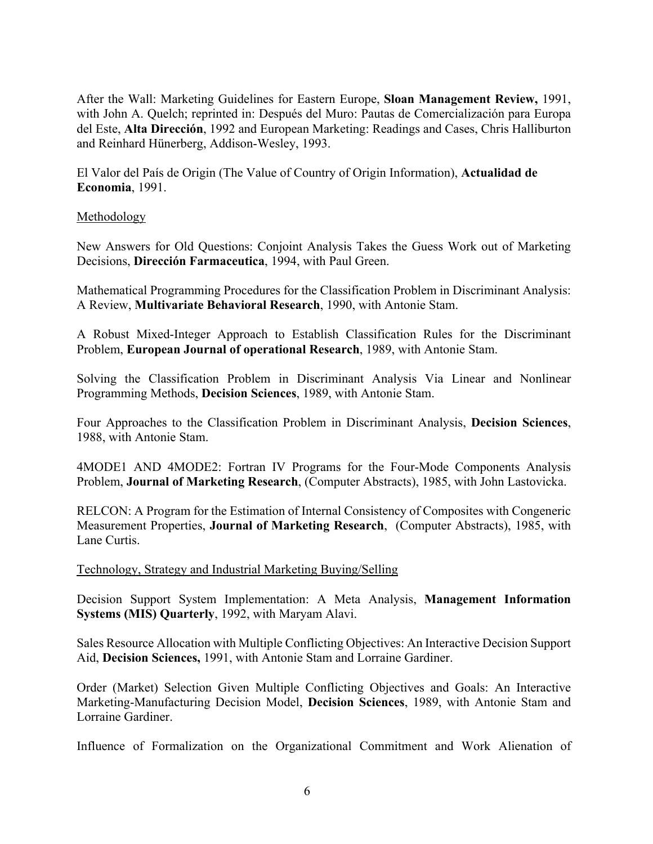After the Wall: Marketing Guidelines for Eastern Europe, **Sloan Management Review,** 1991, with John A. Quelch; reprinted in: Después del Muro: Pautas de Comercialización para Europa del Este, **Alta Dirección**, 1992 and European Marketing: Readings and Cases, Chris Halliburton and Reinhard Hünerberg, Addison-Wesley, 1993.

El Valor del País de Origin (The Value of Country of Origin Information), **Actualidad de Economia**, 1991.

#### Methodology

New Answers for Old Questions: Conjoint Analysis Takes the Guess Work out of Marketing Decisions, **Dirección Farmaceutica**, 1994, with Paul Green.

Mathematical Programming Procedures for the Classification Problem in Discriminant Analysis: A Review, **Multivariate Behavioral Research**, 1990, with Antonie Stam.

A Robust Mixed-Integer Approach to Establish Classification Rules for the Discriminant Problem, **European Journal of operational Research**, 1989, with Antonie Stam.

Solving the Classification Problem in Discriminant Analysis Via Linear and Nonlinear Programming Methods, **Decision Sciences**, 1989, with Antonie Stam.

Four Approaches to the Classification Problem in Discriminant Analysis, **Decision Sciences**, 1988, with Antonie Stam.

4MODE1 AND 4MODE2: Fortran IV Programs for the Four-Mode Components Analysis Problem, **Journal of Marketing Research**, (Computer Abstracts), 1985, with John Lastovicka.

RELCON: A Program for the Estimation of Internal Consistency of Composites with Congeneric Measurement Properties, **Journal of Marketing Research**, (Computer Abstracts), 1985, with Lane Curtis.

Technology, Strategy and Industrial Marketing Buying/Selling

Decision Support System Implementation: A Meta Analysis, **Management Information Systems (MIS) Quarterly**, 1992, with Maryam Alavi.

Sales Resource Allocation with Multiple Conflicting Objectives: An Interactive Decision Support Aid, **Decision Sciences,** 1991, with Antonie Stam and Lorraine Gardiner.

Order (Market) Selection Given Multiple Conflicting Objectives and Goals: An Interactive Marketing-Manufacturing Decision Model, **Decision Sciences**, 1989, with Antonie Stam and Lorraine Gardiner.

Influence of Formalization on the Organizational Commitment and Work Alienation of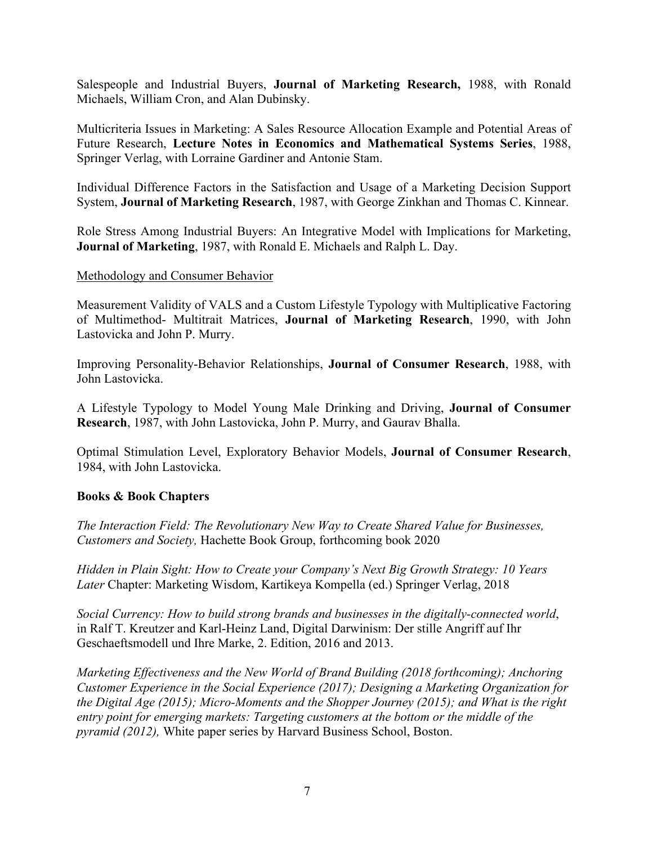Salespeople and Industrial Buyers, **Journal of Marketing Research,** 1988, with Ronald Michaels, William Cron, and Alan Dubinsky.

Multicriteria Issues in Marketing: A Sales Resource Allocation Example and Potential Areas of Future Research, **Lecture Notes in Economics and Mathematical Systems Series**, 1988, Springer Verlag, with Lorraine Gardiner and Antonie Stam.

Individual Difference Factors in the Satisfaction and Usage of a Marketing Decision Support System, **Journal of Marketing Research**, 1987, with George Zinkhan and Thomas C. Kinnear.

Role Stress Among Industrial Buyers: An Integrative Model with Implications for Marketing, **Journal of Marketing**, 1987, with Ronald E. Michaels and Ralph L. Day.

#### Methodology and Consumer Behavior

Measurement Validity of VALS and a Custom Lifestyle Typology with Multiplicative Factoring of Multimethod- Multitrait Matrices, **Journal of Marketing Research**, 1990, with John Lastovicka and John P. Murry.

Improving Personality-Behavior Relationships, **Journal of Consumer Research**, 1988, with John Lastovicka.

A Lifestyle Typology to Model Young Male Drinking and Driving, **Journal of Consumer Research**, 1987, with John Lastovicka, John P. Murry, and Gaurav Bhalla.

Optimal Stimulation Level, Exploratory Behavior Models, **Journal of Consumer Research**, 1984, with John Lastovicka.

#### **Books & Book Chapters**

*The Interaction Field: The Revolutionary New Way to Create Shared Value for Businesses, Customers and Society,* Hachette Book Group, forthcoming book 2020

*Hidden in Plain Sight: How to Create your Company's Next Big Growth Strategy: 10 Years Later* Chapter: Marketing Wisdom, Kartikeya Kompella (ed.) Springer Verlag, 2018

*Social Currency: How to build strong brands and businesses in the digitally-connected world*, in Ralf T. Kreutzer and Karl-Heinz Land, Digital Darwinism: Der stille Angriff auf Ihr Geschaeftsmodell und Ihre Marke, 2. Edition, 2016 and 2013.

*Marketing Effectiveness and the New World of Brand Building (2018 forthcoming); Anchoring Customer Experience in the Social Experience (2017); Designing a Marketing Organization for the Digital Age (2015); Micro-Moments and the Shopper Journey (2015); and What is the right entry point for emerging markets: Targeting customers at the bottom or the middle of the pyramid (2012),* White paper series by Harvard Business School, Boston.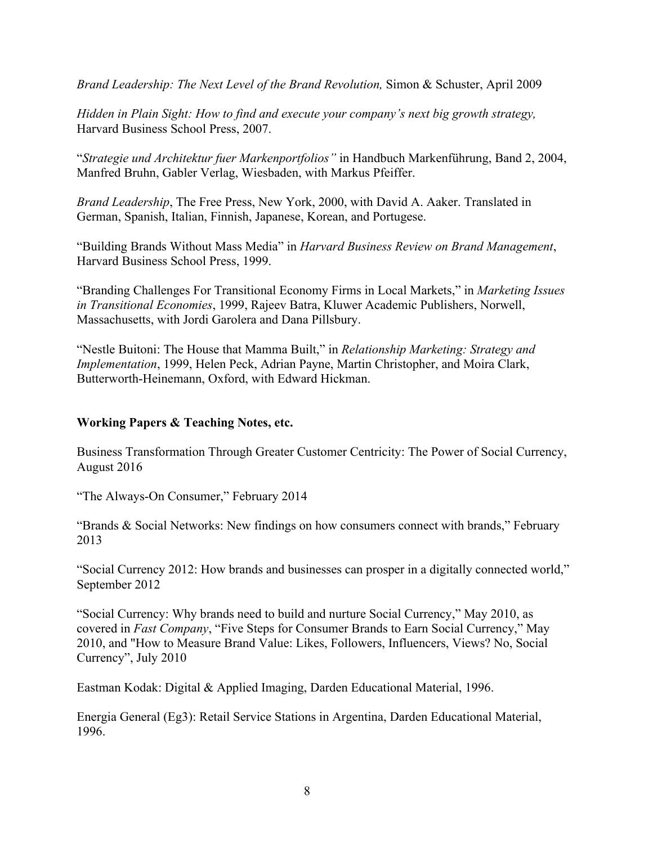*Brand Leadership: The Next Level of the Brand Revolution,* Simon & Schuster, April 2009

*Hidden in Plain Sight: How to find and execute your company's next big growth strategy,*  Harvard Business School Press, 2007.

"*Strategie und Architektur fuer Markenportfolios"* in Handbuch Markenführung, Band 2, 2004, Manfred Bruhn, Gabler Verlag, Wiesbaden, with Markus Pfeiffer.

*Brand Leadership*, The Free Press, New York, 2000, with David A. Aaker. Translated in German, Spanish, Italian, Finnish, Japanese, Korean, and Portugese.

"Building Brands Without Mass Media" in *Harvard Business Review on Brand Management*, Harvard Business School Press, 1999.

"Branding Challenges For Transitional Economy Firms in Local Markets," in *Marketing Issues in Transitional Economies*, 1999, Rajeev Batra, Kluwer Academic Publishers, Norwell, Massachusetts, with Jordi Garolera and Dana Pillsbury.

"Nestle Buitoni: The House that Mamma Built," in *Relationship Marketing: Strategy and Implementation*, 1999, Helen Peck, Adrian Payne, Martin Christopher, and Moira Clark, Butterworth-Heinemann, Oxford, with Edward Hickman.

#### **Working Papers & Teaching Notes, etc.**

Business Transformation Through Greater Customer Centricity: The Power of Social Currency, August 2016

"The Always-On Consumer," February 2014

"Brands & Social Networks: New findings on how consumers connect with brands," February 2013

"Social Currency 2012: How brands and businesses can prosper in a digitally connected world," September 2012

"Social Currency: Why brands need to build and nurture Social Currency," May 2010, as covered in *Fast Company*, "Five Steps for Consumer Brands to Earn Social Currency," May 2010, and "How to Measure Brand Value: Likes, Followers, Influencers, Views? No, Social Currency", July 2010

Eastman Kodak: Digital & Applied Imaging, Darden Educational Material, 1996.

Energia General (Eg3): Retail Service Stations in Argentina, Darden Educational Material, 1996.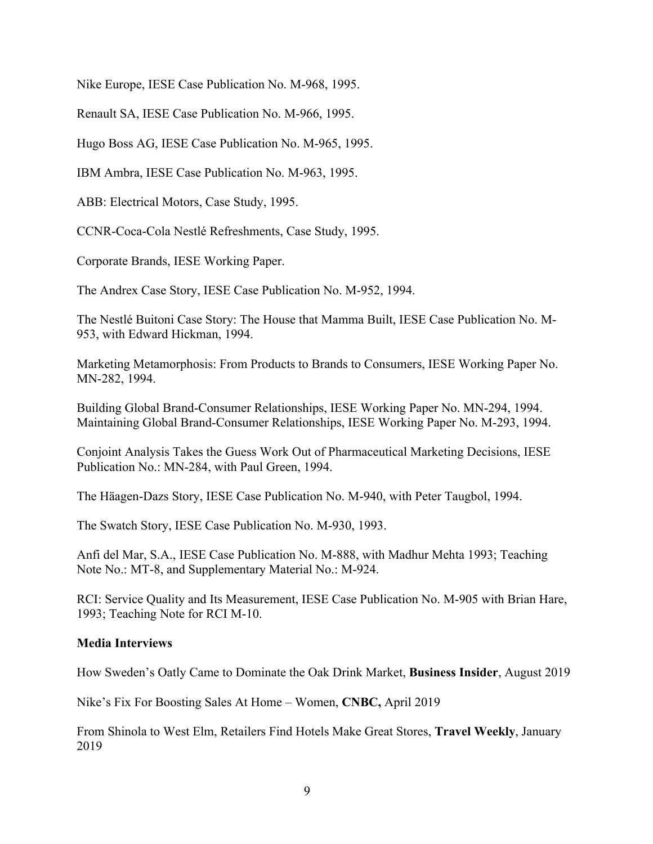Nike Europe, IESE Case Publication No. M-968, 1995.

Renault SA, IESE Case Publication No. M-966, 1995.

Hugo Boss AG, IESE Case Publication No. M-965, 1995.

IBM Ambra, IESE Case Publication No. M-963, 1995.

ABB: Electrical Motors, Case Study, 1995.

CCNR-Coca-Cola Nestlé Refreshments, Case Study, 1995.

Corporate Brands, IESE Working Paper.

The Andrex Case Story, IESE Case Publication No. M-952, 1994.

The Nestlé Buitoni Case Story: The House that Mamma Built, IESE Case Publication No. M-953, with Edward Hickman, 1994.

Marketing Metamorphosis: From Products to Brands to Consumers, IESE Working Paper No. MN-282, 1994.

Building Global Brand-Consumer Relationships, IESE Working Paper No. MN-294, 1994. Maintaining Global Brand-Consumer Relationships, IESE Working Paper No. M-293, 1994.

Conjoint Analysis Takes the Guess Work Out of Pharmaceutical Marketing Decisions, IESE Publication No.: MN-284, with Paul Green, 1994.

The Häagen-Dazs Story, IESE Case Publication No. M-940, with Peter Taugbol, 1994.

The Swatch Story, IESE Case Publication No. M-930, 1993.

Anfi del Mar, S.A., IESE Case Publication No. M-888, with Madhur Mehta 1993; Teaching Note No.: MT-8, and Supplementary Material No.: M-924.

RCI: Service Quality and Its Measurement, IESE Case Publication No. M-905 with Brian Hare, 1993; Teaching Note for RCI M-10.

#### **Media Interviews**

How Sweden's Oatly Came to Dominate the Oak Drink Market, **Business Insider**, August 2019

Nike's Fix For Boosting Sales At Home – Women, **CNBC,** April 2019

From Shinola to West Elm, Retailers Find Hotels Make Great Stores, **Travel Weekly**, January 2019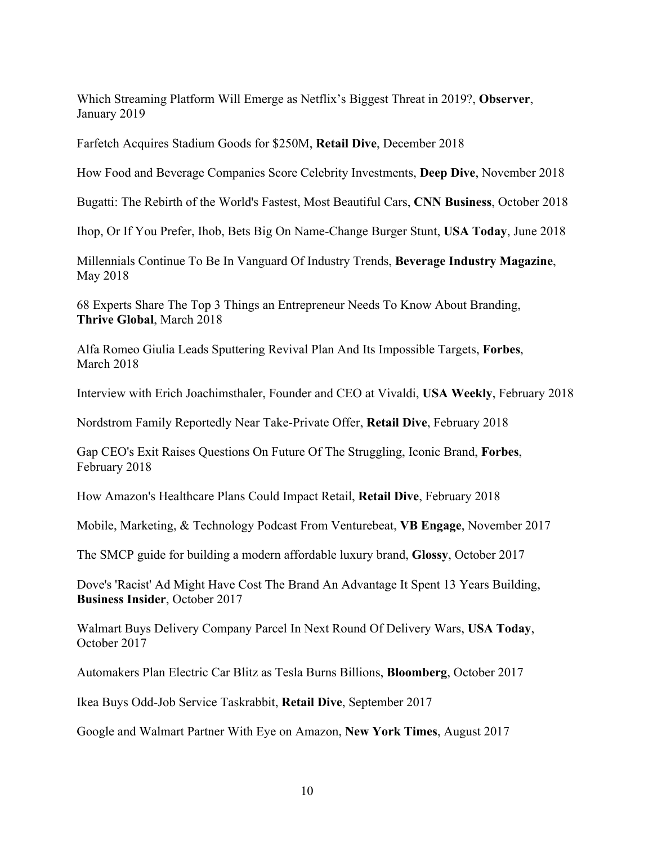Which Streaming Platform Will Emerge as Netflix's Biggest Threat in 2019?, **Observer**, January 2019

Farfetch Acquires Stadium Goods for \$250M, **Retail Dive**, December 2018

How Food and Beverage Companies Score Celebrity Investments, **Deep Dive**, November 2018

Bugatti: The Rebirth of the World's Fastest, Most Beautiful Cars, **CNN Business**, October 2018

Ihop, Or If You Prefer, Ihob, Bets Big On Name-Change Burger Stunt, **USA Today**, June 2018

Millennials Continue To Be In Vanguard Of Industry Trends, **Beverage Industry Magazine**, May 2018

68 Experts Share The Top 3 Things an Entrepreneur Needs To Know About Branding, **Thrive Global**, March 2018

Alfa Romeo Giulia Leads Sputtering Revival Plan And Its Impossible Targets, **Forbes**, March 2018

Interview with Erich Joachimsthaler, Founder and CEO at Vivaldi, **USA Weekly**, February 2018

Nordstrom Family Reportedly Near Take-Private Offer, **Retail Dive**, February 2018

Gap CEO's Exit Raises Questions On Future Of The Struggling, Iconic Brand, **Forbes**, February 2018

How Amazon's Healthcare Plans Could Impact Retail, **Retail Dive**, February 2018

Mobile, Marketing, & Technology Podcast From Venturebeat, **VB Engage**, November 2017

The SMCP guide for building a modern affordable luxury brand, **Glossy**, October 2017

Dove's 'Racist' Ad Might Have Cost The Brand An Advantage It Spent 13 Years Building, **Business Insider**, October 2017

Walmart Buys Delivery Company Parcel In Next Round Of Delivery Wars, **USA Today**, October 2017

Automakers Plan Electric Car Blitz as Tesla Burns Billions, **Bloomberg**, October 2017

Ikea Buys Odd-Job Service Taskrabbit, **Retail Dive**, September 2017

Google and Walmart Partner With Eye on Amazon, **New York Times**, August 2017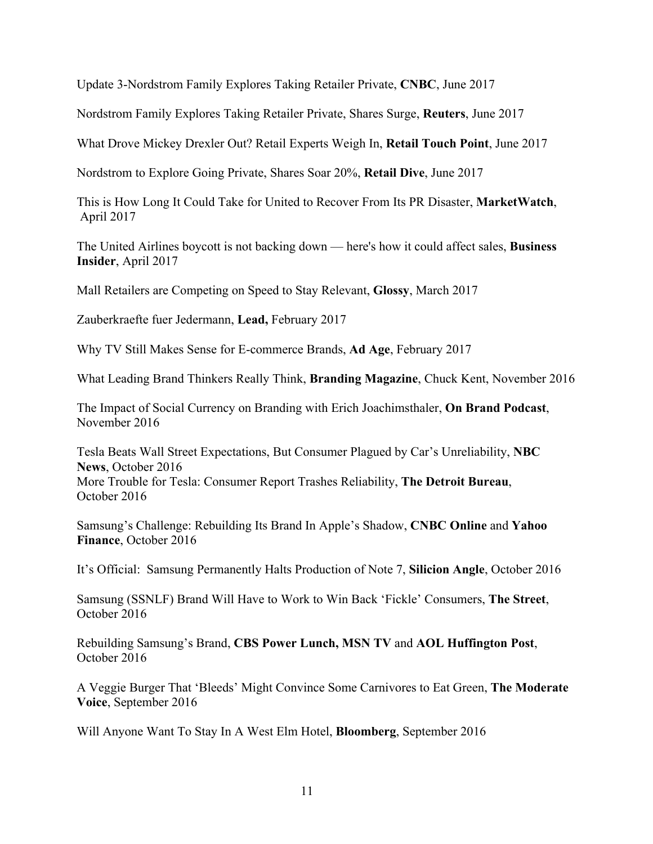Update 3-Nordstrom Family Explores Taking Retailer Private, **CNBC**, June 2017

Nordstrom Family Explores Taking Retailer Private, Shares Surge, **Reuters**, June 2017

What Drove Mickey Drexler Out? Retail Experts Weigh In, **Retail Touch Point**, June 2017

Nordstrom to Explore Going Private, Shares Soar 20%, **Retail Dive**, June 2017

This is How Long It Could Take for United to Recover From Its PR Disaster, **MarketWatch**, April 2017

The United Airlines boycott is not backing down — here's how it could affect sales, **Business Insider**, April 2017

Mall Retailers are Competing on Speed to Stay Relevant, **Glossy**, March 2017

Zauberkraefte fuer Jedermann, **Lead,** February 2017

Why TV Still Makes Sense for E-commerce Brands, **Ad Age**, February 2017

What Leading Brand Thinkers Really Think, **Branding Magazine**, Chuck Kent, November 2016

The Impact of Social Currency on Branding with Erich Joachimsthaler, **On Brand Podcast**, November 2016

Tesla Beats Wall Street Expectations, But Consumer Plagued by Car's Unreliability, **NBC News**, October 2016 More Trouble for Tesla: Consumer Report Trashes Reliability, **The Detroit Bureau**, October 2016

Samsung's Challenge: Rebuilding Its Brand In Apple's Shadow, **CNBC Online** and **Yahoo Finance**, October 2016

It's Official: Samsung Permanently Halts Production of Note 7, **Silicion Angle**, October 2016

Samsung (SSNLF) Brand Will Have to Work to Win Back 'Fickle' Consumers, **The Street**, October 2016

Rebuilding Samsung's Brand, **CBS Power Lunch, MSN TV** and **AOL Huffington Post**, October 2016

A Veggie Burger That 'Bleeds' Might Convince Some Carnivores to Eat Green, **The Moderate Voice**, September 2016

Will Anyone Want To Stay In A West Elm Hotel, **Bloomberg**, September 2016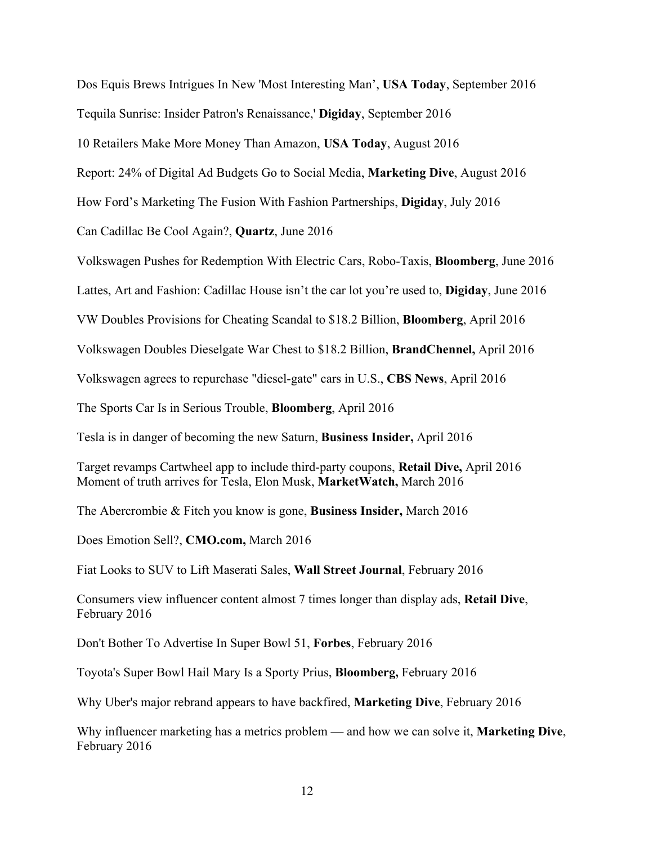Dos Equis Brews Intrigues In New 'Most Interesting Man', **USA Today**, September 2016

Tequila Sunrise: Insider Patron's Renaissance,' **Digiday**, September 2016

10 Retailers Make More Money Than Amazon, **USA Today**, August 2016

Report: 24% of Digital Ad Budgets Go to Social Media, **Marketing Dive**, August 2016

How Ford's Marketing The Fusion With Fashion Partnerships, **Digiday**, July 2016

Can Cadillac Be Cool Again?, **Quartz**, June 2016

Volkswagen Pushes for Redemption With Electric Cars, Robo-Taxis, **Bloomberg**, June 2016

Lattes, Art and Fashion: Cadillac House isn't the car lot you're used to, **Digiday**, June 2016

VW Doubles Provisions for Cheating Scandal to \$18.2 Billion, **Bloomberg**, April 2016

Volkswagen Doubles Dieselgate War Chest to \$18.2 Billion, **BrandChennel,** April 2016

Volkswagen agrees to repurchase "diesel-gate" cars in U.S., **CBS News**, April 2016

The Sports Car Is in Serious Trouble, **Bloomberg**, April 2016

Tesla is in danger of becoming the new Saturn, **Business Insider,** April 2016

Target revamps Cartwheel app to include third-party coupons, **Retail Dive,** April 2016 Moment of truth arrives for Tesla, Elon Musk, **MarketWatch,** March 2016

The Abercrombie & Fitch you know is gone, **Business Insider,** March 2016

Does Emotion Sell?, **CMO.com,** March 2016

Fiat Looks to SUV to Lift Maserati Sales, **Wall Street Journal**, February 2016

Consumers view influencer content almost 7 times longer than display ads, **Retail Dive**, February 2016

Don't Bother To Advertise In Super Bowl 51, **Forbes**, February 2016

Toyota's Super Bowl Hail Mary Is a Sporty Prius, **Bloomberg,** February 2016

Why Uber's major rebrand appears to have backfired, **Marketing Dive**, February 2016

Why influencer marketing has a metrics problem — and how we can solve it, **Marketing Dive**, February 2016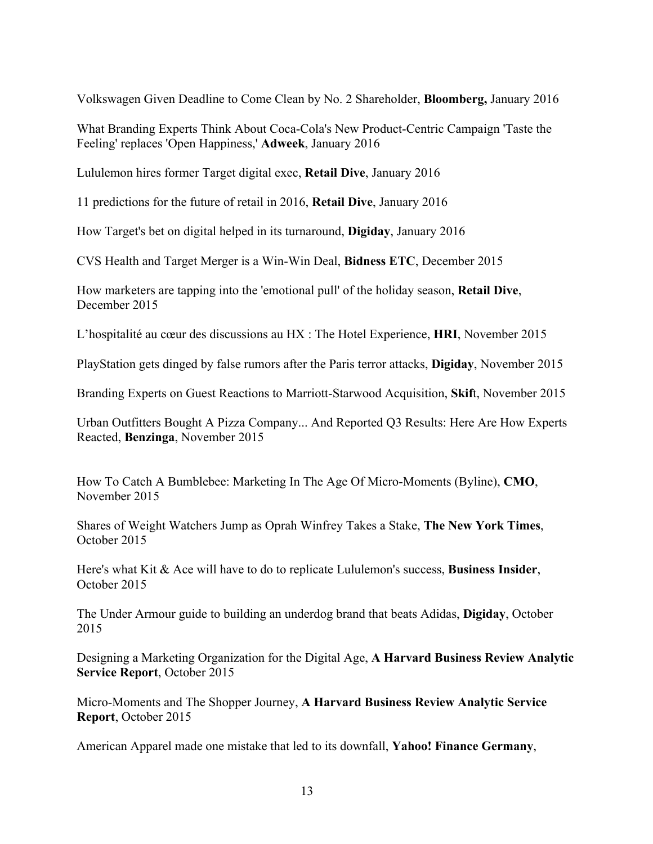Volkswagen Given Deadline to Come Clean by No. 2 Shareholder, **Bloomberg,** January 2016

What Branding Experts Think About Coca-Cola's New Product-Centric Campaign 'Taste the Feeling' replaces 'Open Happiness,' **Adweek**, January 2016

Lululemon hires former Target digital exec, **Retail Dive**, January 2016

11 predictions for the future of retail in 2016, **Retail Dive**, January 2016

How Target's bet on digital helped in its turnaround, **Digiday**, January 2016

CVS Health and Target Merger is a Win-Win Deal, **Bidness ETC**, December 2015

How marketers are tapping into the 'emotional pull' of the holiday season, **Retail Dive**, December 2015

L'hospitalité au cœur des discussions au HX : The Hotel Experience, **HRI**, November 2015

PlayStation gets dinged by false rumors after the Paris terror attacks, **Digiday**, November 2015

Branding Experts on Guest Reactions to Marriott-Starwood Acquisition, **Skif**t, November 2015

Urban Outfitters Bought A Pizza Company... And Reported Q3 Results: Here Are How Experts Reacted, **Benzinga**, November 2015

How To Catch A Bumblebee: Marketing In The Age Of Micro-Moments (Byline), **CMO**, November 2015

Shares of Weight Watchers Jump as Oprah Winfrey Takes a Stake, **The New York Times**, October 2015

Here's what Kit & Ace will have to do to replicate Lululemon's success, **Business Insider**, October 2015

The Under Armour guide to building an underdog brand that beats Adidas, **Digiday**, October 2015

Designing a Marketing Organization for the Digital Age, **A Harvard Business Review Analytic Service Report**, October 2015

Micro-Moments and The Shopper Journey, **A Harvard Business Review Analytic Service Report**, October 2015

American Apparel made one mistake that led to its downfall, **Yahoo! Finance Germany**,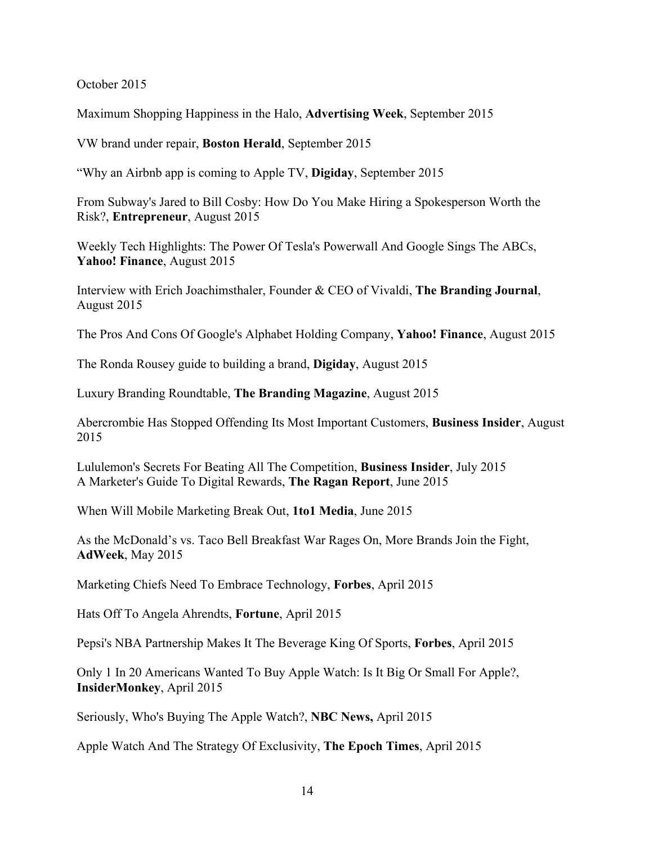October 2015

Maximum Shopping Happiness in the Halo, **Advertising Week**, September 2015

VW brand under repair, **Boston Herald**, September 2015

"Why an Airbnb app is coming to Apple TV, **Digiday**, September 2015

From Subway's Jared to Bill Cosby: How Do You Make Hiring a Spokesperson Worth the Risk?, **Entrepreneur**, August 2015

Weekly Tech Highlights: The Power Of Tesla's Powerwall And Google Sings The ABCs, **Yahoo! Finance**, August 2015

Interview with Erich Joachimsthaler, Founder & CEO of Vivaldi, **The Branding Journal**, August 2015

The Pros And Cons Of Google's Alphabet Holding Company, **Yahoo! Finance**, August 2015

The Ronda Rousey guide to building a brand, **Digiday**, August 2015

Luxury Branding Roundtable, **The Branding Magazine**, August 2015

Abercrombie Has Stopped Offending Its Most Important Customers, **Business Insider**, August 2015

Lululemon's Secrets For Beating All The Competition, **Business Insider**, July 2015 A Marketer's Guide To Digital Rewards, **The Ragan Report**, June 2015

When Will Mobile Marketing Break Out, **1to1 Media**, June 2015

As the McDonald's vs. Taco Bell Breakfast War Rages On, More Brands Join the Fight, **AdWeek**, May 2015

Marketing Chiefs Need To Embrace Technology, **Forbes**, April 2015

Hats Off To Angela Ahrendts, **Fortune**, April 2015

Pepsi's NBA Partnership Makes It The Beverage King Of Sports, **Forbes**, April 2015

Only 1 In 20 Americans Wanted To Buy Apple Watch: Is It Big Or Small For Apple?, **InsiderMonkey**, April 2015

Seriously, Who's Buying The Apple Watch?, **NBC News,** April 2015

Apple Watch And The Strategy Of Exclusivity, **The Epoch Times**, April 2015